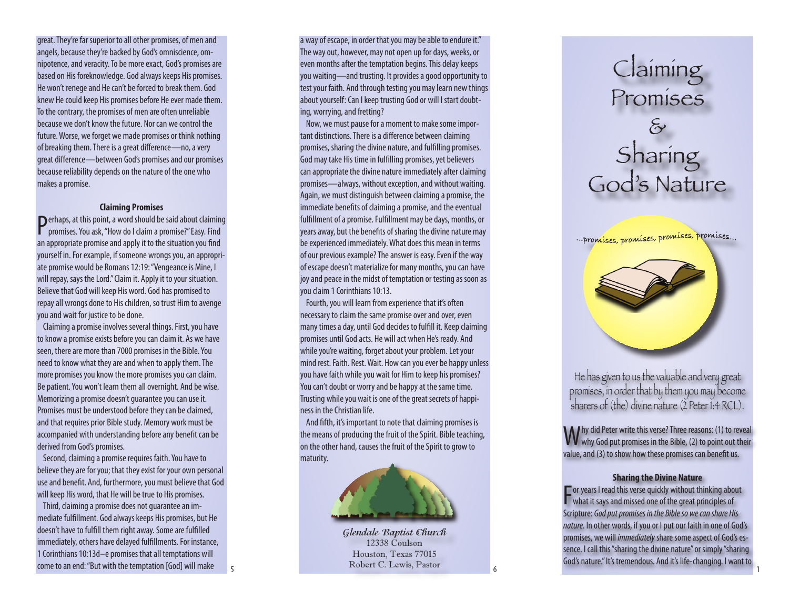great. They're far superior to all other promises, of men and angels, because they're backed by God's omniscience, om nipotence, and veracity. To be more exact, God's promises are based on His foreknowledge. God always keeps His promises. He won't renege and He can't be forced to break them. God knew He could keep His promises before He ever made them. To the contrary, the promises of men are often unreliable because we don't know the future. Nor can we control the future. Worse, we forget we made promises or think nothing of breaking them. There is a great difference—no, a very great difference—between God's promises and our promises because reliability depends on the nature of the one who makes a promise.

## **Claiming Promises**

Perhaps, at this point, a word should be said about claiming<br>promises. You ask, "How do I claim a promise?" Easy. Find promises. You ask, "How do I claim a promise?" Easy. Find an appropriate promise and apply it to the situation you find yourself in. For example, if someone wrongs you, an appropri ate promise would be Romans 12:19: "Vengeance is Mine, I will repay, says the Lord." Claim it. Apply it to your situation. Believe that God will keep His word. God has promised to repay all wrongs done to His children, so trust Him to avenge you and wait for justice to be done.

Claiming a promise involves several things. First, you have to know a promise exists before you can claim it. As we have seen, there are more than 7000 promises in the Bible. You need to know what they are and when to apply them. The more promises you know the more promises you can claim. Be patient. You won't learn them all overnight. And be wise. Memorizing a promise doesn't guarantee you can use it. Promises must be understood before they can be claimed, and that requires prior Bible study. Memory work must be accompanied with understanding before any benefit can be derived from God's promises.

Second, claiming a promise requires faith. You have to believe they are for you; that they exist for your own personal use and benefit. And, furthermore, you must believe that God will keep His word, that He will be true to His promises.

Third, claiming a promise does not guarantee an im mediate fulfillment. God always keeps His promises, but He doesn't have to fulfill them right away. Some are fulfilled immediately, others have delayed fulfillments. For instance, 1 Corinthians 10:13d–e promises that all temptations will come to an end: "But with the temptation [God] will make

5

a way of escape, in order that you may be able to endure it." The way out, however, may not open up for days, weeks, or even months after the temptation begins. This delay keeps you waiting—and trusting. It provides a good opportunity to test your faith. And through testing you may learn new things about yourself: Can I keep trusting God or will I start doubt ing, worrying, and fretting?

Now, we must pause for a moment to make some impor tant distinctions. There is a difference between claiming promises, sharing the divine nature, and fulfilling promises. God may take His time in fulfilling promises, yet believers can appropriate the divine nature immediately after claiming promises—always, without exception, and without waiting. Again, we must distinguish between claiming a promise, the immediate benefits of claiming a promise, and the eventual fulfillment of a promise. Fulfillment may be days, months, or years away, but the benefits of sharing the divine nature may be experienced immediately. What does this mean in terms of our previous example? The answer is easy. Even if the way of escape doesn't materialize for many months, you can have joy and peace in the midst of temptation or testing as soon as you claim 1 Corinthians 10:13.

Fourth, you will learn from experience that it's often necessary to claim the same promise over and over, even many times a day, until God decides to fulfill it. Keep claiming promises until God acts. He will act when He's ready. And while you're waiting, forget about your problem. Let your mind rest. Faith. Rest. Wait. How can you ever be happy unless you have faith while you wait for Him to keep his promises? You can't doubt or worry and be happy at the same time. Trusting while you wait is one of the great secrets of happi ness in the Christian life.

And fifth, it's important to note that claiming promises is the means of producing the fruit of the Spirit. Bible teaching, on the other hand, causes the fruit of the Spirit to grow to maturity.



**Glendale Baptist Church** 12338 Coulson Houston, Texas 77015 Robert C. Lewis, Pastor



... promíses, promíses, promíses, promíses...

God's Nature



He has given to us the valuable and very great promises, in order that by them you may become sharers of (the) divine nature (2 Peter 1:4 RCL).

Why did Peter write this verse? Three reasons: (1) to reveal<br>Wwhy God put promises in the Bible, (2) to point out their value, and (3) to show how these promises can benefit us.

### **Sharing the Divine Nature**

F what it says and missed one of the great principles of  $\blacksquare$  or years I read this verse quickly without thinking about Scripture: *God put promises in the Bible so we can share His nature.* In other words, if you or I put our faith in one of God's promises, we will *immediately* share some aspect of God's es sence. I call this "sharing the divine nature" or simply "sharing God's nature." It's tremendous. And it's life-changing. I want to

1